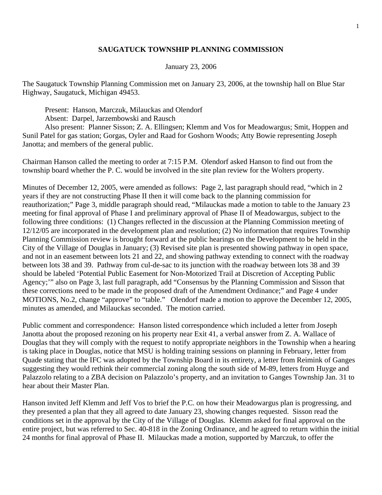## **SAUGATUCK TOWNSHIP PLANNING COMMISSION**

## January 23, 2006

The Saugatuck Township Planning Commission met on January 23, 2006, at the township hall on Blue Star Highway, Saugatuck, Michigan 49453.

Present: Hanson, Marczuk, Milauckas and Olendorf

Absent: Darpel, Jarzembowski and Rausch

 Also present: Planner Sisson; Z. A. Ellingsen; Klemm and Vos for Meadowargus; Smit, Hoppen and Sunil Patel for gas station; Gorgas, Oyler and Raad for Goshorn Woods; Atty Bowie representing Joseph Janotta; and members of the general public.

Chairman Hanson called the meeting to order at 7:15 P.M. Olendorf asked Hanson to find out from the township board whether the P. C. would be involved in the site plan review for the Wolters property.

Minutes of December 12, 2005, were amended as follows: Page 2, last paragraph should read, "which in 2 years if they are not constructing Phase II then it will come back to the planning commission for reauthorization;" Page 3, middle paragraph should read, "Milauckas made a motion to table to the January 23 meeting for final approval of Phase I and preliminary approval of Phase II of Meadowargus, subject to the following three conditions: (1) Changes reflected in the discussion at the Planning Commission meeting of 12/12/05 are incorporated in the development plan and resolution; (2) No information that requires Township Planning Commission review is brought forward at the public hearings on the Development to be held in the City of the Village of Douglas in January; (3) Revised site plan is presented showing pathway in open space, and not in an easement between lots 21 and 22, and showing pathway extending to connect with the roadway between lots 38 and 39. Pathway from cul-de-sac to its junction with the roadway between lots 38 and 39 should be labeled 'Potential Public Easement for Non-Motorized Trail at Discretion of Accepting Public Agency;'" also on Page 3, last full paragraph, add "Consensus by the Planning Commission and Sisson that these corrections need to be made in the proposed draft of the Amendment Ordinance;" and Page 4 under MOTIONS, No.2, change "approve" to "table." Olendorf made a motion to approve the December 12, 2005, minutes as amended, and Milauckas seconded. The motion carried.

Public comment and correspondence: Hanson listed correspondence which included a letter from Joseph Janotta about the proposed rezoning on his property near Exit 41, a verbal answer from Z. A. Wallace of Douglas that they will comply with the request to notify appropriate neighbors in the Township when a hearing is taking place in Douglas, notice that MSU is holding training sessions on planning in February, letter from Quade stating that the IFC was adopted by the Township Board in its entirety, a letter from Reimink of Ganges suggesting they would rethink their commercial zoning along the south side of M-89, letters from Huyge and Palazzolo relating to a ZBA decision on Palazzolo's property, and an invitation to Ganges Township Jan. 31 to hear about their Master Plan.

Hanson invited Jeff Klemm and Jeff Vos to brief the P.C. on how their Meadowargus plan is progressing, and they presented a plan that they all agreed to date January 23, showing changes requested. Sisson read the conditions set in the approval by the City of the Village of Douglas. Klemm asked for final approval on the entire project, but was referred to Sec. 40-818 in the Zoning Ordinance, and he agreed to return within the initial 24 months for final approval of Phase II. Milauckas made a motion, supported by Marczuk, to offer the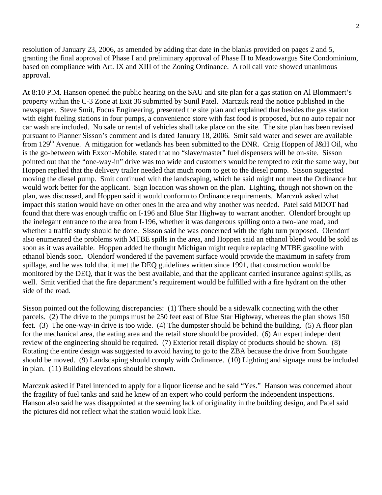resolution of January 23, 2006, as amended by adding that date in the blanks provided on pages 2 and 5, granting the final approval of Phase I and preliminary approval of Phase II to Meadowargus Site Condominium, based on compliance with Art. IX and XIII of the Zoning Ordinance. A roll call vote showed unanimous approval.

At 8:10 P.M. Hanson opened the public hearing on the SAU and site plan for a gas station on Al Blommaert's property within the C-3 Zone at Exit 36 submitted by Sunil Patel. Marczuk read the notice published in the newspaper. Steve Smit, Focus Engineering, presented the site plan and explained that besides the gas station with eight fueling stations in four pumps, a convenience store with fast food is proposed, but no auto repair nor car wash are included. No sale or rental of vehicles shall take place on the site. The site plan has been revised pursuant to Planner Sisson's comment and is dated January 18, 2006. Smit said water and sewer are available from 129<sup>th</sup> Avenue. A mitigation for wetlands has been submitted to the DNR. Craig Hoppen of J&H Oil, who is the go-between with Exxon-Mobile, stated that no "slave/master" fuel dispensers will be on-site. Sisson pointed out that the "one-way-in" drive was too wide and customers would be tempted to exit the same way, but Hoppen replied that the delivery trailer needed that much room to get to the diesel pump. Sisson suggested moving the diesel pump. Smit continued with the landscaping, which he said might not meet the Ordinance but would work better for the applicant. Sign location was shown on the plan. Lighting, though not shown on the plan, was discussed, and Hoppen said it would conform to Ordinance requirements. Marczuk asked what impact this station would have on other ones in the area and why another was needed. Patel said MDOT had found that there was enough traffic on I-196 and Blue Star Highway to warrant another. Olendorf brought up the inelegant entrance to the area from I-196, whether it was dangerous spilling onto a two-lane road, and whether a traffic study should be done. Sisson said he was concerned with the right turn proposed. Olendorf also enumerated the problems with MTBE spills in the area, and Hoppen said an ethanol blend would be sold as soon as it was available. Hoppen added he thought Michigan might require replacing MTBE gasoline with ethanol blends soon. Olendorf wondered if the pavement surface would provide the maximum in safety from spillage, and he was told that it met the DEQ guidelines written since 1991, that construction would be monitored by the DEQ, that it was the best available, and that the applicant carried insurance against spills, as well. Smit verified that the fire department's requirement would be fulfilled with a fire hydrant on the other side of the road.

Sisson pointed out the following discrepancies: (1) There should be a sidewalk connecting with the other parcels. (2) The drive to the pumps must be 250 feet east of Blue Star Highway, whereas the plan shows 150 feet. (3) The one-way-in drive is too wide. (4) The dumpster should be behind the building. (5) A floor plan for the mechanical area, the eating area and the retail store should be provided. (6) An expert independent review of the engineering should be required. (7) Exterior retail display of products should be shown. (8) Rotating the entire design was suggested to avoid having to go to the ZBA because the drive from Southgate should be moved. (9) Landscaping should comply with Ordinance. (10) Lighting and signage must be included in plan. (11) Building elevations should be shown.

Marczuk asked if Patel intended to apply for a liquor license and he said "Yes." Hanson was concerned about the fragility of fuel tanks and said he knew of an expert who could perform the independent inspections. Hanson also said he was disappointed at the seeming lack of originality in the building design, and Patel said the pictures did not reflect what the station would look like.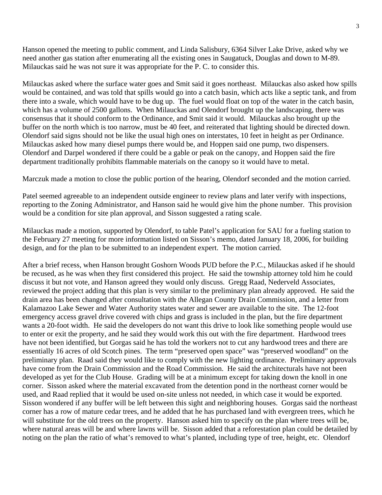Hanson opened the meeting to public comment, and Linda Salisbury, 6364 Silver Lake Drive, asked why we need another gas station after enumerating all the existing ones in Saugatuck, Douglas and down to M-89. Milauckas said he was not sure it was appropriate for the P. C. to consider this.

Milauckas asked where the surface water goes and Smit said it goes northeast. Milauckas also asked how spills would be contained, and was told that spills would go into a catch basin, which acts like a septic tank, and from there into a swale, which would have to be dug up. The fuel would float on top of the water in the catch basin, which has a volume of 2500 gallons. When Milauckas and Olendorf brought up the landscaping, there was consensus that it should conform to the Ordinance, and Smit said it would. Milauckas also brought up the buffer on the north which is too narrow, must be 40 feet, and reiterated that lighting should be directed down. Olendorf said signs should not be like the usual high ones on interstates, 10 feet in height as per Ordinance. Milauckas asked how many diesel pumps there would be, and Hoppen said one pump, two dispensers. Olendorf and Darpel wondered if there could be a gable or peak on the canopy, and Hoppen said the fire department traditionally prohibits flammable materials on the canopy so it would have to metal.

Marczuk made a motion to close the public portion of the hearing, Olendorf seconded and the motion carried.

Patel seemed agreeable to an independent outside engineer to review plans and later verify with inspections, reporting to the Zoning Administrator, and Hanson said he would give him the phone number. This provision would be a condition for site plan approval, and Sisson suggested a rating scale.

Milauckas made a motion, supported by Olendorf, to table Patel's application for SAU for a fueling station to the February 27 meeting for more information listed on Sisson's memo, dated January 18, 2006, for building design, and for the plan to be submitted to an independent expert. The motion carried.

After a brief recess, when Hanson brought Goshorn Woods PUD before the P.C., Milauckas asked if he should be recused, as he was when they first considered this project. He said the township attorney told him he could discuss it but not vote, and Hanson agreed they would only discuss. Gregg Raad, Nederveld Associates, reviewed the project adding that this plan is very similar to the preliminary plan already approved. He said the drain area has been changed after consultation with the Allegan County Drain Commission, and a letter from Kalamazoo Lake Sewer and Water Authority states water and sewer are available to the site. The 12-foot emergency access gravel drive covered with chips and grass is included in the plan, but the fire department wants a 20-foot width. He said the developers do not want this drive to look like something people would use to enter or exit the property, and he said they would work this out with the fire department. Hardwood trees have not been identified, but Gorgas said he has told the workers not to cut any hardwood trees and there are essentially 16 acres of old Scotch pines. The term "preserved open space" was "preserved woodland" on the preliminary plan. Raad said they would like to comply with the new lighting ordinance. Preliminary approvals have come from the Drain Commission and the Road Commission. He said the architecturals have not been developed as yet for the Club House. Grading will be at a minimum except for taking down the knoll in one corner. Sisson asked where the material excavated from the detention pond in the northeast corner would be used, and Raad replied that it would be used on-site unless not needed, in which case it would be exported. Sisson wondered if any buffer will be left between this sight and neighboring houses. Gorgas said the northeast corner has a row of mature cedar trees, and he added that he has purchased land with evergreen trees, which he will substitute for the old trees on the property. Hanson asked him to specify on the plan where trees will be, where natural areas will be and where lawns will be. Sisson added that a reforestation plan could be detailed by noting on the plan the ratio of what's removed to what's planted, including type of tree, height, etc. Olendorf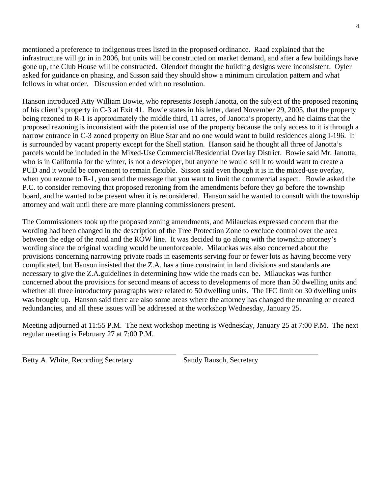mentioned a preference to indigenous trees listed in the proposed ordinance. Raad explained that the infrastructure will go in in 2006, but units will be constructed on market demand, and after a few buildings have gone up, the Club House will be constructed. Olendorf thought the building designs were inconsistent. Oyler asked for guidance on phasing, and Sisson said they should show a minimum circulation pattern and what follows in what order. Discussion ended with no resolution.

Hanson introduced Atty William Bowie, who represents Joseph Janotta, on the subject of the proposed rezoning of his client's property in C-3 at Exit 41. Bowie states in his letter, dated November 29, 2005, that the property being rezoned to R-1 is approximately the middle third, 11 acres, of Janotta's property, and he claims that the proposed rezoning is inconsistent with the potential use of the property because the only access to it is through a narrow entrance in C-3 zoned property on Blue Star and no one would want to build residences along I-196. It is surrounded by vacant property except for the Shell station. Hanson said he thought all three of Janotta's parcels would be included in the Mixed-Use Commercial/Residential Overlay District. Bowie said Mr. Janotta, who is in California for the winter, is not a developer, but anyone he would sell it to would want to create a PUD and it would be convenient to remain flexible. Sisson said even though it is in the mixed-use overlay, when you rezone to R-1, you send the message that you want to limit the commercial aspect. Bowie asked the P.C. to consider removing that proposed rezoning from the amendments before they go before the township board, and he wanted to be present when it is reconsidered. Hanson said he wanted to consult with the township attorney and wait until there are more planning commissioners present.

The Commissioners took up the proposed zoning amendments, and Milauckas expressed concern that the wording had been changed in the description of the Tree Protection Zone to exclude control over the area between the edge of the road and the ROW line. It was decided to go along with the township attorney's wording since the original wording would be unenforceable. Milauckas was also concerned about the provisions concerning narrowing private roads in easements serving four or fewer lots as having become very complicated, but Hanson insisted that the Z.A. has a time constraint in land divisions and standards are necessary to give the Z.A.guidelines in determining how wide the roads can be. Milauckas was further concerned about the provisions for second means of access to developments of more than 50 dwelling units and whether all three introductory paragraphs were related to 50 dwelling units. The IFC limit on 30 dwelling units was brought up. Hanson said there are also some areas where the attorney has changed the meaning or created redundancies, and all these issues will be addressed at the workshop Wednesday, January 25.

Meeting adjourned at 11:55 P.M. The next workshop meeting is Wednesday, January 25 at 7:00 P.M. The next regular meeting is February 27 at 7:00 P.M.

\_\_\_\_\_\_\_\_\_\_\_\_\_\_\_\_\_\_\_\_\_\_\_\_\_\_\_\_\_\_\_\_\_\_\_\_\_\_\_\_\_ \_\_\_\_\_\_\_\_\_\_\_\_\_\_\_\_\_\_\_\_\_\_\_\_\_\_\_\_\_\_\_\_\_\_\_\_

Betty A. White, Recording Secretary Sandy Rausch, Secretary